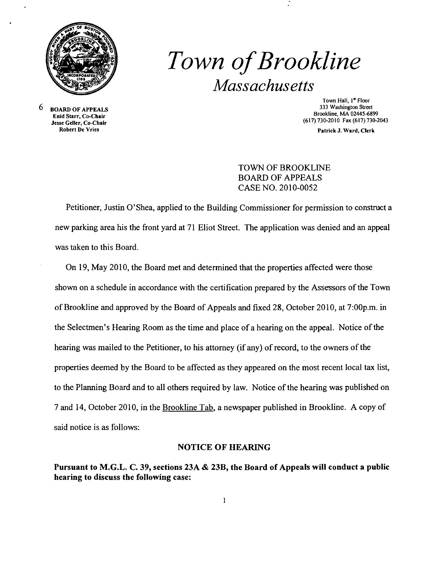

# *Town ofBrookline Massachusetts*

 $6$  BOARD OF APPEALS Enid Starr, Co-Chair Jesse Geller, Co-Chair

Town Hall, 1<sup>st</sup> Floor<br>333 Washington Street Brookline, MA 02445-6899 (617)730-2010 Fax (617) 730-2043

Patrick J. Ward, Clerk

## TOWN OF BROOKLINE BOARD OF APPEALS CASE NO. 2010-0052

Petitioner, Justin O'Shea, applied to the Building Commissioner for permission to construct a new parking area his the front yard at 71 Eliot Street. The application was denied and an appeal was taken to this Board.

On 19, May 2010, the Board met and determined that the properties affected were those shown on a schedule in accordance with the certification prepared by the Assessors of the Town ofBrookline and approved by the Board of Appeals and fixed 28, October 2010, at 7:00p.m. in the Selectmen's Hearing Room as the time and place of a hearing on the appeal. Notice of the hearing was mailed to the Petitioner, to his attorney (if any) of record, to the owners of the properties deemed by the Board to be affected as they appeared on the most recent local tax list, to the Planning Board and to all others required by law. Notice of the hearing was published on 7 and 14, October 2010, in the Brookline Tab, a newspaper published in Brookline. A copy of said notice is as follows:

#### NOTICE OF HEARING

Pursuant to M.G.L. C. 39, sections 23A & 23B, the Board of Appeals will conduct a public hearing to discuss the following case: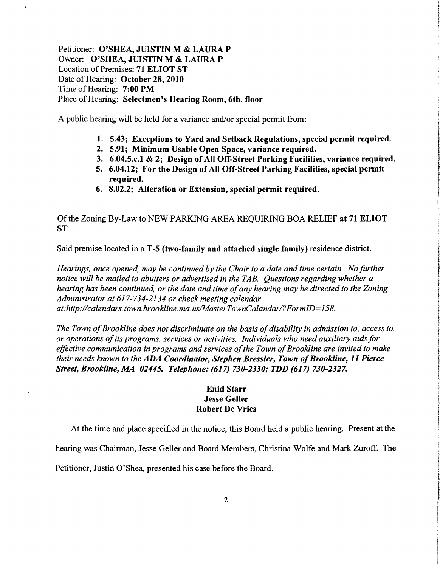Petitioner: O'SHEA, JUISTIN M & LAURA P Owner: O'SHEA,JUISTIN M & LAURA P Location of Premises: 71 ELIOT ST Date of Hearing: October 28, 2010 Time of Hearing: 7:00 PM Place of Hearing: Selectmen's Hearing Room, 6th. floor

A public hearing will be held for a variance and/or special permit from:

- 1. 5.43; Exceptions to Yard and Setback Regulations, special permit required.
- 2. 5.91; Minimum Usable Open Space, variance required.
- 3. 6.04.5.c.1 & 2; Design of All Off-Street Parking Facilities, variance required.
- 5. 6.04.12; For the Design of All Off-Street Parking Facilities, special permit required.
- 6. 8.02.2; Alteration or Extension, special permit required.

Of the Zoning By-Law to NEW PARKING AREA REQUIRING BOA RELIEF at 71 ELIOT **ST** 

Said premise located in a T-5 (two-family and attached single family) residence district.

*Hearings, once opened, may be continued by the Chair to a date and time certain. No further notice will be mailed to abutters or advertised in the TAB. Questions regarding whether a hearing has been continued, or the date and time ofany hearing may be directed to the Zoning Administrator at* 617-734-2134 *or check meeting calendar at:http://calendars. town. brookline.ma. uslMasterTownCalandarl?FormID=158.* 

The Town of Brookline does not discriminate on the basis of disability in admission to, access to, *or operations ofits programs, services or activities. Individuals who need auxiliary aidsfor*  effective communication in programs and services of the Town of Brookline are invited to make *their needs known to the ADA Coordinator, Stephen Bressler, Town of Brookline, 11 Pierce Street, Brookline, MA 02445. Telephone:* (617) *730-2330,. TDD* (617) *730-2327.* 

### Enid Starr Jesse Geller Robert De Vries

At the time and place specified in the notice, this Board held a public hearing. Present at the

hearing was Chairman, Jesse Geller and Board Members, Christina Wolfe and Mark Zuroff. The

Petitioner, Justin O'Shea, presented his case before the Board.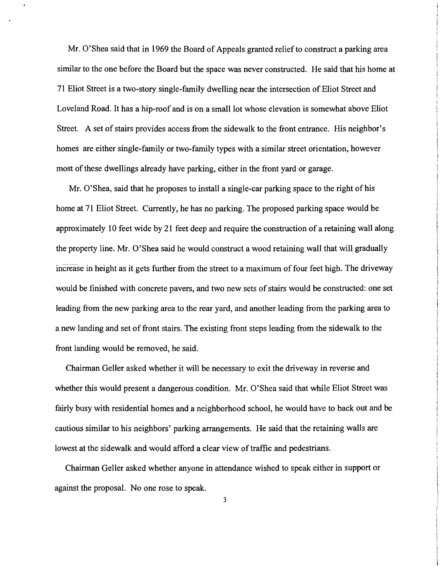Mr. O'Shea said that in 1969 the Board of Appeals granted relief to construct a parking area similar to the one before the Board but the space was never constructed. He said that his home at 71 Eliot Street is a two-story single-family dwelling near the intersection of Eliot Street and Loveland Road. It has a hip-roof and is on a small lot whose elevation is somewhat above Eliot Street. A set of stairs provides access from the sidewalk to the front entrance. His neighbor's homes are either single-family or two-family types with a similar street orientation, however most ofthese dwellings already have parking, either in the front yard or garage.

Mr. O'Shea, said that he proposes to install a single-car parking space to the right of his home at 71 Eliot Street. Currently, he has no parking. The proposed parking space would be approximately 10 feet wide by 21 feet deep and require the construction of a retaining wall along the property line. Mr. O'Shea said he would construct a wood retaining wall that will gradually increase in height as it gets further from the street to a maximum of four feet high. The driveway would be finished with concrete pavers, and two new sets of stairs would be constructed: one set leading from the new parking area to the rear yard, and another leading from the parking area to a new landing and set of front stairs. The existing front steps leading from the sidewalk to the front landing would be removed, he said.

Chairman Geller asked whether it will be necessary to exit the driveway in reverse and whether this would present a dangerous condition. Mr. O'Shea said that while Eliot Street was fairly busy with residential homes and a neighborhood school, he would have to back out and be cautious similar to his neighbors' parking arrangements. He said that the retaining walls are lowest at the sidewalk and would afford a clear view of traffic and pedestrians.

Chairman Geller asked whether anyone in attendance wished to speak either in support or against the proposal. No one rose to speak.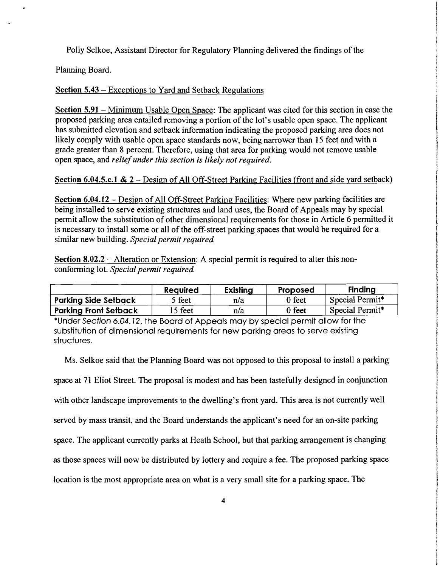Polly Selkoe, Assistant Director for Regulatory Planning delivered the findings of the

Planning Board.

## Section 5.43 - Exceptions to Yard and Setback Regulations

Section 5.91 - Minimum Usable Open Space: The applicant was cited for this section in case the proposed parking area entailed removing a portion of the lot's usable open space. The applicant has submitted elevation and setback information indicating the proposed parking area does not likely comply with usable open space standards now, being narrower than 15 feet and with a grade greater than 8 percent. Therefore, using that area for parking would not remove usable open space, and *reliefunder this section is likely not required.* 

## Section 6.04.5.c.1 &  $2 -$ Design of All Off-Street Parking Facilities (front and side yard setback)

Section 6.04.12 - Design of All Off-Street Parking Facilities: Where new parking facilities are being installed to serve existing structures and land uses, the Board of Appeals may by special permit allow the substitution of other dimensional requirements for those in Article 6 permitted it is necessary to install some or all of the off-street parking spaces that would be required for a similar new building. *Special permit required.* 

Section  $8.02.2$  – Alteration or Extension: A special permit is required to alter this nonconforming lot. *Special permit required.* 

|                              | <b>Required</b> | <b>Existing</b> | Proposed      | <b>Finding</b>  |
|------------------------------|-----------------|-----------------|---------------|-----------------|
| <b>Parking Side Setback</b>  | feet            | n/a             | If feet       | Special Permit* |
| <b>Parking Front Setback</b> | 5 feet          | n/a             | $\gamma$ feet | Special Permit* |

·Under Section 6.04.12, the Board of Appeals may by special permit allow for the substitution of dimensional requirements for new parking areas to serve existing structures.

Ms. Selkoe said that the Planning Board was not opposed to this proposal to install a parking

space at 71 Eliot Street. The proposal is modest and has been tastefully designed in conjunction with other landscape improvements to the dwelling's front yard. This area is not currently well served by mass transit, and the Board understands the applicant's need for an on-site parking space. The applicant currently parks at Heath School, but that parking arrangement is changing as those spaces will now be distributed by lottery and require a fee. The proposed parking space

location is the most appropriate area on what is a very small site for a parking space. The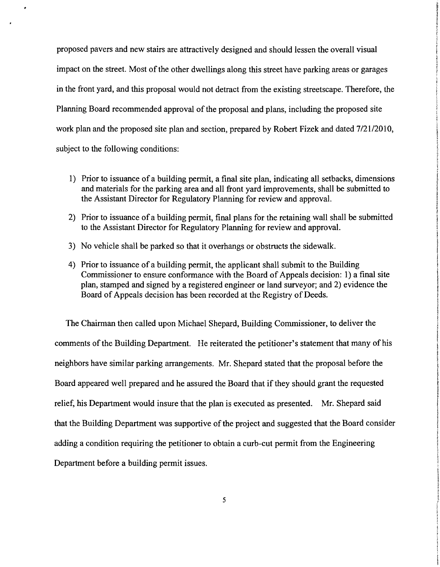proposed pavers and new stairs are attractively designed and should lessen the overall visual impact on the street. Most of the other dwellings along this street have parking areas or garages in the front yard, and this proposal would not detract from the existing streetscape. Therefore, the Planning Board recommended approval of the proposal and plans, including the proposed site work plan and the proposed site plan and section, prepared by Robert Fizek and dated 7/21/2010, subject to the following conditions:

- 1) Prior to issuance of a building permit, a final site plan, indicating all setbacks, dimensions and materials for the parking area and all front yard improvements, shall be submitted to the Assistant Director for Regulatory Planning for review and approval.
- 2) Prior to issuance of a building permit, final plans for the retaining wall shall be submitted to the Assistant Director for Regulatory Planning for review and approval.
- 3) No vehicle shall be parked so that it overhangs or obstructs the sidewalk.
- 4) Prior to issuance of a building permit, the applicant shall submit to the Building Commissioner to ensure conformance with the Board of Appeals decision: 1) a final site plan, stamped and signed by a registered engineer or land surveyor; and 2) evidence the Board of Appeals decision has been recorded at the Registry of Deeds.

The Chairman then called upon Michael Shepard, Building Commissioner, to deliver the comments of the Building Department. He reiterated the petitioner's statement that many of his neighbors have similar parking arrangements. Mr. Shepard stated that the proposal before the Board appeared well prepared and he assured the Board that if they should grant the requested relief, his Department would insure that the plan is executed as presented. Mr. Shepard said that the Building Department was supportive of the project and suggested that the Board consider adding a condition requiring the petitioner to obtain a curb-cut permit from the Engineering Department before a building permit issues.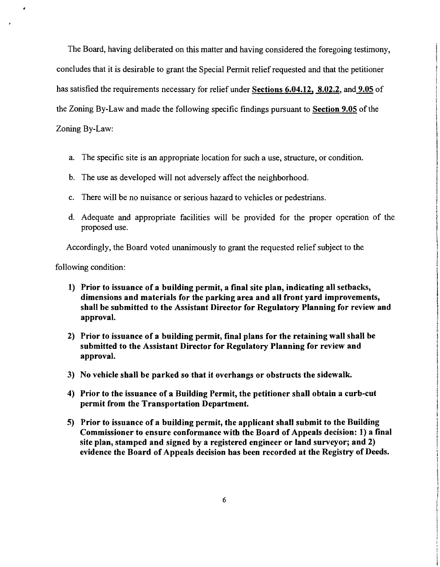The Board, having deliberated on this matter and having considered the foregoing testimony, concludes that it is desirable to grant the Special Permit relief requested and that the petitioner has satisfied the requirements necessary for relief under Sections 6.04.12, 8.02.2, and 9.05 of the Zoning By-Law and made the following specific findings pursuant to Section 9.05 of the Zoning By-Law:

- a. The specific site is an appropriate location for such a use, structure, or condition.
- b. The use as developed will not adversely affect the neighborhood.
- c. There will be no nuisance or serious hazard to vehicles or pedestrians.
- d. Adequate and appropriate facilities will be provided for the proper operation of the proposed use.

Accordingly, the Board voted unanimously to grant the requested relief subject to the

following condition:

- 1) Prior to issuance of a building permit, a final site plan, indicating all setbacks, dimensions and materials for the parking area and all front yard improvements, shall be submitted to the Assistant Director for Regulatory Planning for review and approval.
- 2) Prior to issuance of a building permit, final plans for the retaining wall shall be submitted to the Assistant Director for Regulatory Planning for review and approval.
- 3) No vehicle shall be parked so that it overhangs or obstructs the sidewalk.
- 4) Prior to the issuance of a Building Permit, the petitioner shall obtain a curb-cut permit from the Transportation Department.
- 5) Prior to issuance of a building permit, the applicant shall submit to the Building Commissioner to ensure conformance with the Board of Appeals decision: 1) a final site plan, stamped and signed by a registered engineer or land surveyor; and 2) evidence the Board of Appeals decision has been recorded at the Registry of Deeds.